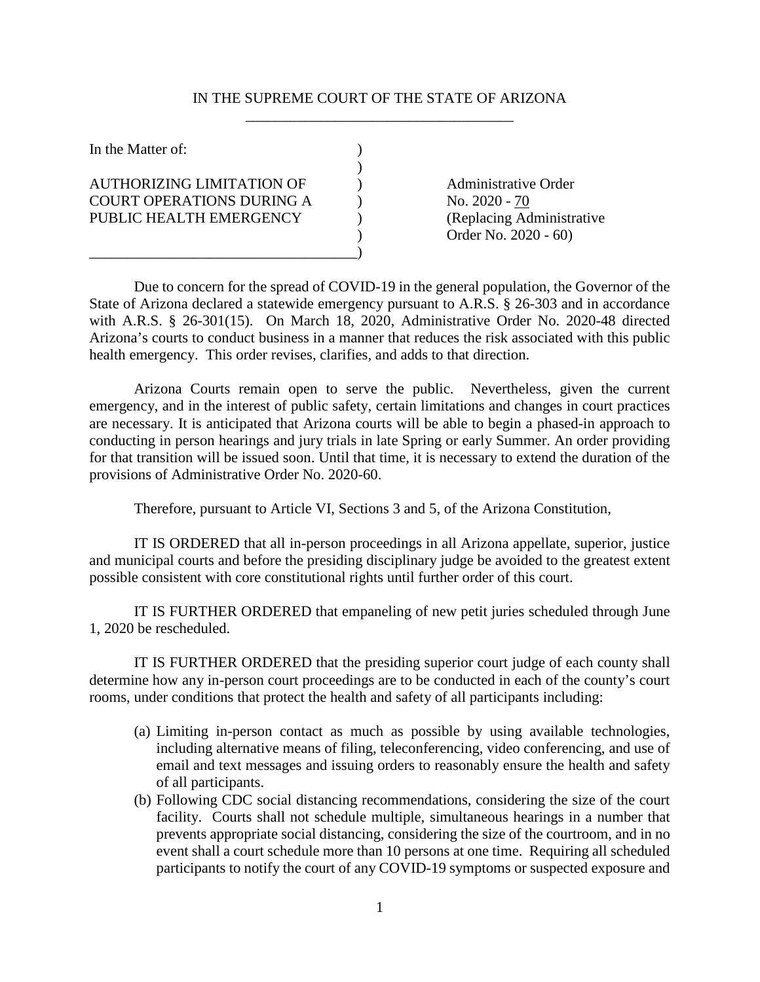## IN THE SUPREME COURT OF THE STATE OF ARIZONA \_\_\_\_\_\_\_\_\_\_\_\_\_\_\_\_\_\_\_\_\_\_\_\_\_\_\_\_\_\_\_\_\_\_\_\_

| In the Matter of:                                                                               |                                                                                                    |
|-------------------------------------------------------------------------------------------------|----------------------------------------------------------------------------------------------------|
| <b>AUTHORIZING LIMITATION OF</b><br><b>COURT OPERATIONS DURING A</b><br>PUBLIC HEALTH EMERGENCY | <b>Administrative Order</b><br>No. 2020 - 70<br>(Replacing Administrative)<br>Order No. 2020 - 60) |

Due to concern for the spread of COVID-19 in the general population, the Governor of the State of Arizona declared a statewide emergency pursuant to A.R.S. § 26-303 and in accordance with A.R.S. § 26-301(15). On March 18, 2020, Administrative Order No. 2020-48 directed Arizona's courts to conduct business in a manner that reduces the risk associated with this public health emergency. This order revises, clarifies, and adds to that direction.

Arizona Courts remain open to serve the public. Nevertheless, given the current emergency, and in the interest of public safety, certain limitations and changes in court practices are necessary. It is anticipated that Arizona courts will be able to begin a phased-in approach to conducting in person hearings and jury trials in late Spring or early Summer. An order providing for that transition will be issued soon. Until that time, it is necessary to extend the duration of the provisions of Administrative Order No. 2020-60.

Therefore, pursuant to Article VI, Sections 3 and 5, of the Arizona Constitution,

IT IS ORDERED that all in-person proceedings in all Arizona appellate, superior, justice and municipal courts and before the presiding disciplinary judge be avoided to the greatest extent possible consistent with core constitutional rights until further order of this court.

IT IS FURTHER ORDERED that empaneling of new petit juries scheduled through June 1, 2020 be rescheduled.

IT IS FURTHER ORDERED that the presiding superior court judge of each county shall determine how any in-person court proceedings are to be conducted in each of the county's court rooms, under conditions that protect the health and safety of all participants including:

- (a) Limiting in-person contact as much as possible by using available technologies, including alternative means of filing, teleconferencing, video conferencing, and use of email and text messages and issuing orders to reasonably ensure the health and safety of all participants.
- (b) Following CDC social distancing recommendations, considering the size of the court facility. Courts shall not schedule multiple, simultaneous hearings in a number that prevents appropriate social distancing, considering the size of the courtroom, and in no event shall a court schedule more than 10 persons at one time. Requiring all scheduled participants to notify the court of any COVID-19 symptoms or suspected exposure and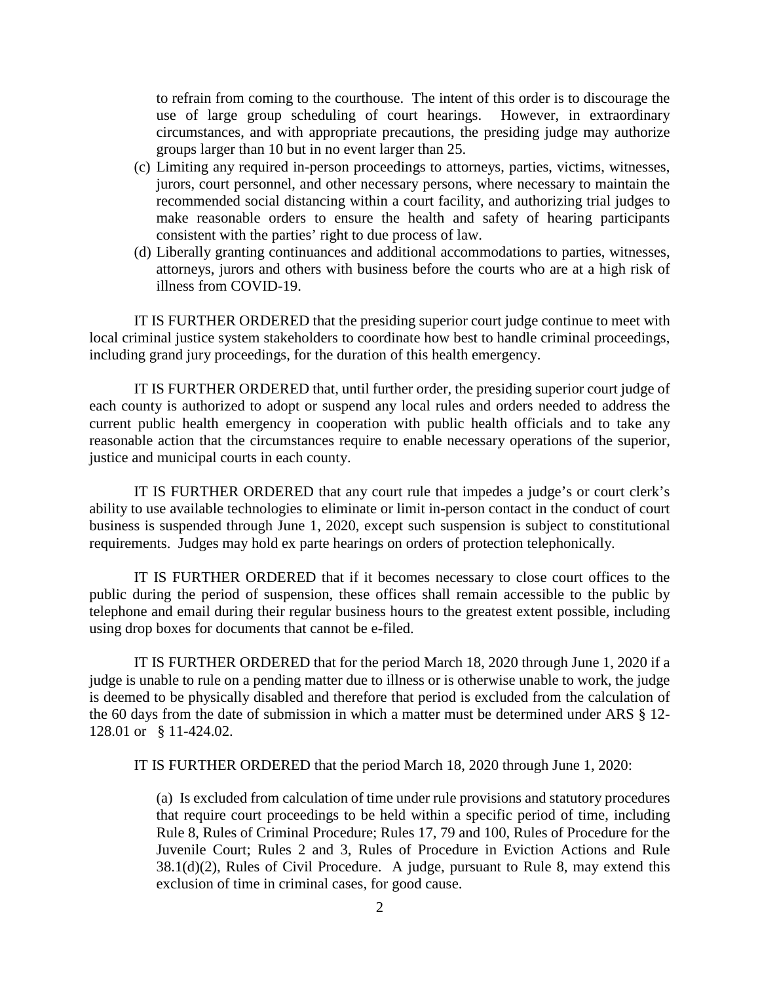to refrain from coming to the courthouse. The intent of this order is to discourage the use of large group scheduling of court hearings. However, in extraordinary circumstances, and with appropriate precautions, the presiding judge may authorize groups larger than 10 but in no event larger than 25.

- (c) Limiting any required in-person proceedings to attorneys, parties, victims, witnesses, jurors, court personnel, and other necessary persons, where necessary to maintain the recommended social distancing within a court facility, and authorizing trial judges to make reasonable orders to ensure the health and safety of hearing participants consistent with the parties' right to due process of law.
- (d) Liberally granting continuances and additional accommodations to parties, witnesses, attorneys, jurors and others with business before the courts who are at a high risk of illness from COVID-19.

IT IS FURTHER ORDERED that the presiding superior court judge continue to meet with local criminal justice system stakeholders to coordinate how best to handle criminal proceedings, including grand jury proceedings, for the duration of this health emergency.

IT IS FURTHER ORDERED that, until further order, the presiding superior court judge of each county is authorized to adopt or suspend any local rules and orders needed to address the current public health emergency in cooperation with public health officials and to take any reasonable action that the circumstances require to enable necessary operations of the superior, justice and municipal courts in each county.

IT IS FURTHER ORDERED that any court rule that impedes a judge's or court clerk's ability to use available technologies to eliminate or limit in-person contact in the conduct of court business is suspended through June 1, 2020, except such suspension is subject to constitutional requirements. Judges may hold ex parte hearings on orders of protection telephonically.

IT IS FURTHER ORDERED that if it becomes necessary to close court offices to the public during the period of suspension, these offices shall remain accessible to the public by telephone and email during their regular business hours to the greatest extent possible, including using drop boxes for documents that cannot be e-filed.

IT IS FURTHER ORDERED that for the period March 18, 2020 through June 1, 2020 if a judge is unable to rule on a pending matter due to illness or is otherwise unable to work, the judge is deemed to be physically disabled and therefore that period is excluded from the calculation of the 60 days from the date of submission in which a matter must be determined under ARS § 12- 128.01 or § 11-424.02.

IT IS FURTHER ORDERED that the period March 18, 2020 through June 1, 2020:

 (a) Is excluded from calculation of time under rule provisions and statutory procedures that require court proceedings to be held within a specific period of time, including Rule 8, Rules of Criminal Procedure; Rules 17, 79 and 100, Rules of Procedure for the Juvenile Court; Rules 2 and 3, Rules of Procedure in Eviction Actions and Rule 38.1(d)(2), Rules of Civil Procedure. A judge, pursuant to Rule 8, may extend this exclusion of time in criminal cases, for good cause.